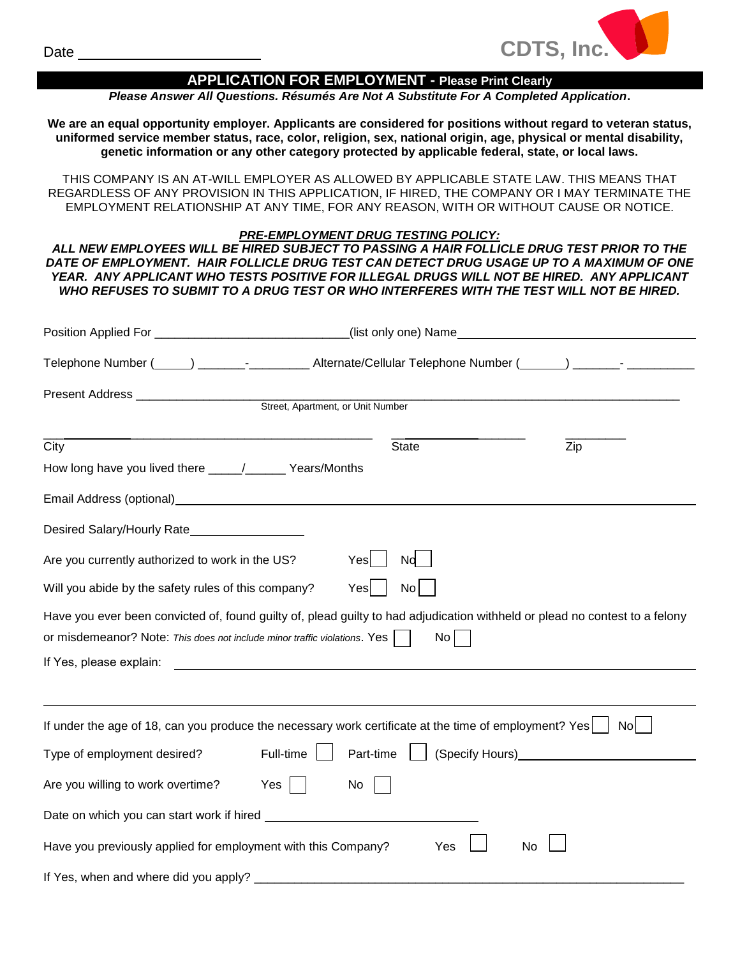

# **APPLICATION FOR EMPLOYMENT - Please Print Clearly**

*Please Answer All Questions. Résumés Are Not A Substitute For A Completed Application***.**

**We are an equal opportunity employer. Applicants are considered for positions without regard to veteran status, uniformed service member status, race, color, religion, sex, national origin, age, physical or mental disability, genetic information or any other category protected by applicable federal, state, or local laws.**

THIS COMPANY IS AN AT-WILL EMPLOYER AS ALLOWED BY APPLICABLE STATE LAW. THIS MEANS THAT REGARDLESS OF ANY PROVISION IN THIS APPLICATION, IF HIRED, THE COMPANY OR I MAY TERMINATE THE EMPLOYMENT RELATIONSHIP AT ANY TIME, FOR ANY REASON, WITH OR WITHOUT CAUSE OR NOTICE.

## *PRE-EMPLOYMENT DRUG TESTING POLICY:*

*ALL NEW EMPLOYEES WILL BE HIRED SUBJECT TO PASSING A HAIR FOLLICLE DRUG TEST PRIOR TO THE DATE OF EMPLOYMENT. HAIR FOLLICLE DRUG TEST CAN DETECT DRUG USAGE UP TO A MAXIMUM OF ONE YEAR. ANY APPLICANT WHO TESTS POSITIVE FOR ILLEGAL DRUGS WILL NOT BE HIRED. ANY APPLICANT WHO REFUSES TO SUBMIT TO A DRUG TEST OR WHO INTERFERES WITH THE TEST WILL NOT BE HIRED.*

| Position Applied For ____________________________(list only one) Name_______________________________  |                                                                                                                                                                                                                                                           |  |  |  |  |
|-------------------------------------------------------------------------------------------------------|-----------------------------------------------------------------------------------------------------------------------------------------------------------------------------------------------------------------------------------------------------------|--|--|--|--|
|                                                                                                       |                                                                                                                                                                                                                                                           |  |  |  |  |
| Street, Apartment, or Unit Number                                                                     |                                                                                                                                                                                                                                                           |  |  |  |  |
| City                                                                                                  | <b>State</b><br>Zip                                                                                                                                                                                                                                       |  |  |  |  |
|                                                                                                       |                                                                                                                                                                                                                                                           |  |  |  |  |
|                                                                                                       |                                                                                                                                                                                                                                                           |  |  |  |  |
| Desired Salary/Hourly Rate                                                                            |                                                                                                                                                                                                                                                           |  |  |  |  |
| Are you currently authorized to work in the US?                                                       | Yes<br>Nd                                                                                                                                                                                                                                                 |  |  |  |  |
| Will you abide by the safety rules of this company?                                                   | No<br>Yes                                                                                                                                                                                                                                                 |  |  |  |  |
| or misdemeanor? Note: This does not include minor traffic violations. Yes                             | Have you ever been convicted of, found guilty of, plead guilty to had adjudication withheld or plead no contest to a felony<br>No <sub>1</sub>                                                                                                            |  |  |  |  |
| If Yes, please explain:                                                                               | <u> 1988 - Johann Barn, amerikansk politiker (d. 1988)</u>                                                                                                                                                                                                |  |  |  |  |
|                                                                                                       |                                                                                                                                                                                                                                                           |  |  |  |  |
| If under the age of 18, can you produce the necessary work certificate at the time of employment? Yes | Nol                                                                                                                                                                                                                                                       |  |  |  |  |
| Type of employment desired?<br>Full-time                                                              | (Specify Hours) Superior Contract Contract Contract Contract Contract Contract Contract Contract Contract Contract Contract Contract Contract Contract Contract Contract Contract Contract Contract Contract Contract Contract<br>Part-time $\vert \vert$ |  |  |  |  |
| Are you willing to work overtime?<br>$Yes$                                                            | No                                                                                                                                                                                                                                                        |  |  |  |  |
|                                                                                                       |                                                                                                                                                                                                                                                           |  |  |  |  |
| Have you previously applied for employment with this Company?                                         | No<br>Yes                                                                                                                                                                                                                                                 |  |  |  |  |
| If Yes, when and where did you apply? _________________                                               |                                                                                                                                                                                                                                                           |  |  |  |  |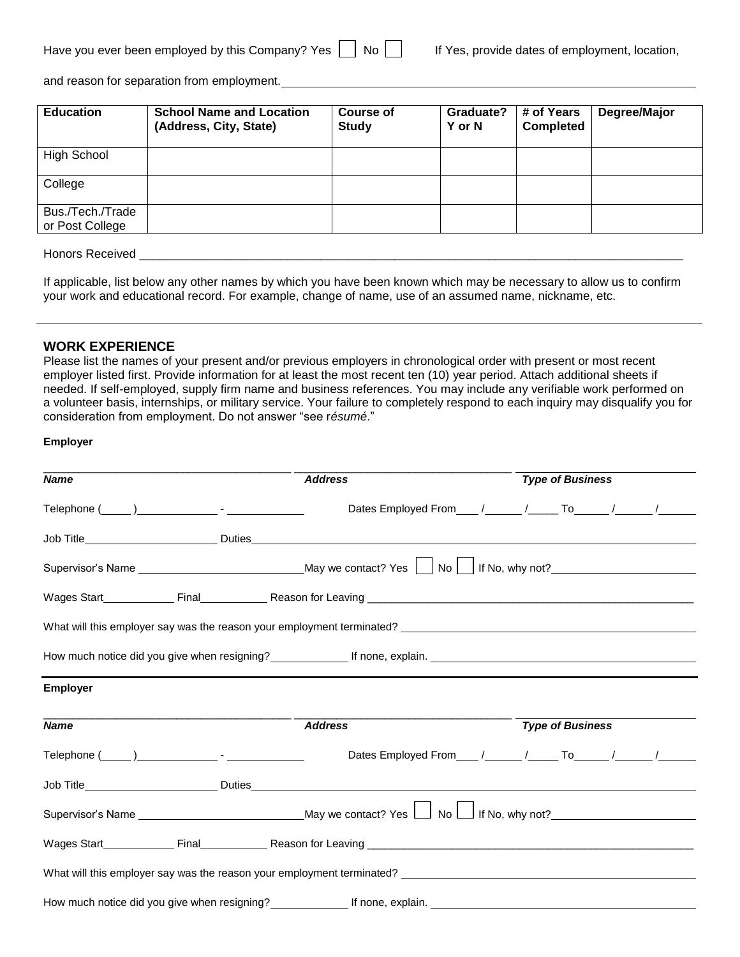| Have you ever been employed by this Company? Yes |  | $\mathsf{N}$ |
|--------------------------------------------------|--|--------------|
|--------------------------------------------------|--|--------------|

and reason for separation from employment.

| <b>Education</b>                    | <b>School Name and Location</b><br>(Address, City, State) | <b>Course of</b><br><b>Study</b> | Graduate?<br>Y or N | # of Years<br><b>Completed</b> | Degree/Major |
|-------------------------------------|-----------------------------------------------------------|----------------------------------|---------------------|--------------------------------|--------------|
| High School                         |                                                           |                                  |                     |                                |              |
| College                             |                                                           |                                  |                     |                                |              |
| Bus./Tech./Trade<br>or Post College |                                                           |                                  |                     |                                |              |

Honors Received \_\_\_\_\_\_\_\_\_\_\_\_\_\_\_\_\_\_\_\_\_\_\_\_\_\_\_\_\_\_\_\_\_\_\_\_\_\_\_\_\_\_\_\_\_\_\_\_\_\_\_\_\_\_\_\_\_\_\_\_\_\_\_\_\_\_\_\_\_\_\_\_\_\_\_\_\_\_\_\_\_

If applicable, list below any other names by which you have been known which may be necessary to allow us to confirm your work and educational record. For example, change of name, use of an assumed name, nickname, etc.

## **WORK EXPERIENCE**

Please list the names of your present and/or previous employers in chronological order with present or most recent employer listed first. Provide information for at least the most recent ten (10) year period. Attach additional sheets if needed. If self-employed, supply firm name and business references. You may include any verifiable work performed on a volunteer basis, internships, or military service. Your failure to completely respond to each inquiry may disqualify you for consideration from employment. Do not answer "see r*ésumé*."

#### **Employer**

| <b>Name</b>     | <b>Address</b>                                                                                            | <b>Type of Business</b>                                        |
|-----------------|-----------------------------------------------------------------------------------------------------------|----------------------------------------------------------------|
|                 |                                                                                                           |                                                                |
|                 |                                                                                                           |                                                                |
|                 |                                                                                                           |                                                                |
|                 |                                                                                                           |                                                                |
|                 | What will this employer say was the reason your employment terminated?                                    |                                                                |
|                 |                                                                                                           |                                                                |
| <b>Employer</b> |                                                                                                           |                                                                |
| <b>Name</b>     | <b>Address</b>                                                                                            | <b>Type of Business</b>                                        |
|                 |                                                                                                           | Dates Employed From ___ /_____ /_____ To _____ /_____ /_______ |
|                 |                                                                                                           |                                                                |
|                 | Supervisor's Name ___________________________________May we contact? Yes $\Box$ No $\Box$ If No, why not? |                                                                |
|                 | Wages Start Final Final Reason for Leaving <b>Construct Constant Construct Construct</b>                  |                                                                |
|                 | What will this employer say was the reason your employment terminated?                                    |                                                                |
|                 | How much notice did you give when resigning? If none, explain. If none, explain.                          |                                                                |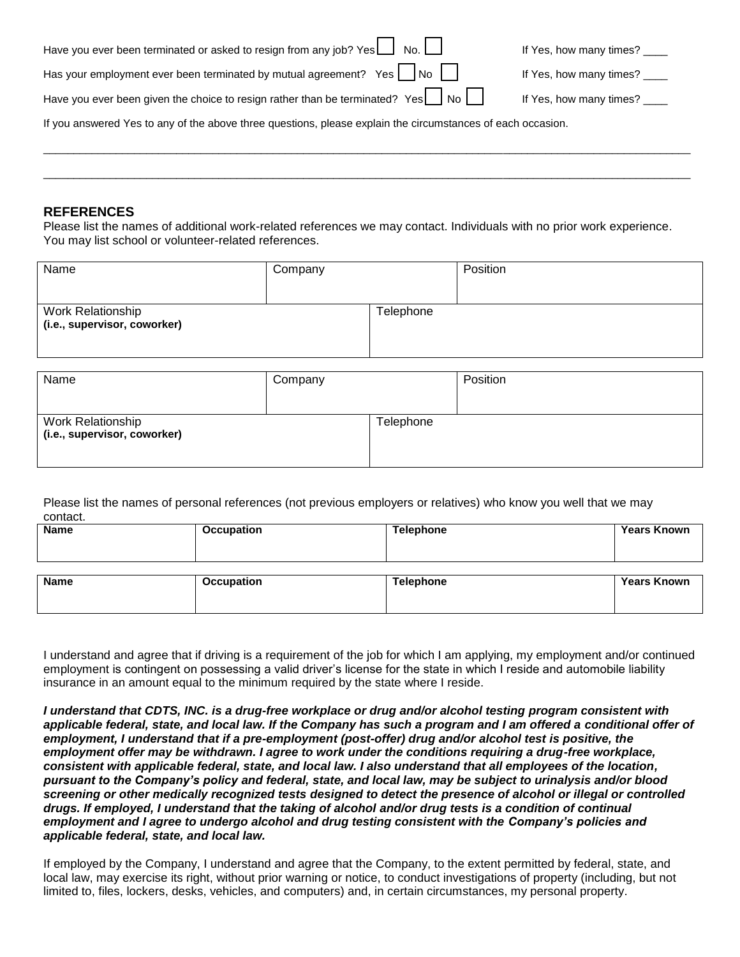| Have you ever been terminated or asked to resign from any job? Yes $\Box$ No.                               | If Yes, how many times? ____ |
|-------------------------------------------------------------------------------------------------------------|------------------------------|
| Has your employment ever been terminated by mutual agreement? Yes $\vert$ No $\vert$                        | If Yes, how many times? ____ |
| Have you ever been given the choice to resign rather than be terminated? Yes $\Box$ No                      | If Yes, how many times? ____ |
| If you answered Yes to any of the above three questions, please explain the circumstances of each occasion. |                              |

\_\_\_\_\_\_\_\_\_\_\_\_\_\_\_\_\_\_\_\_\_\_\_\_\_\_\_\_\_\_\_\_\_\_\_\_\_\_\_\_\_\_\_\_\_\_\_\_\_\_\_\_\_\_\_\_\_\_\_\_\_\_\_\_\_\_\_\_\_\_\_\_\_\_\_\_\_\_\_\_\_\_\_\_\_\_\_\_\_\_\_\_\_\_\_\_\_\_\_\_\_\_\_\_\_\_\_

\_\_\_\_\_\_\_\_\_\_\_\_\_\_\_\_\_\_\_\_\_\_\_\_\_\_\_\_\_\_\_\_\_\_\_\_\_\_\_\_\_\_\_\_\_\_\_\_\_\_\_\_\_\_\_\_\_\_\_\_\_\_\_\_\_\_\_\_\_\_\_\_\_\_\_\_\_\_\_\_\_\_\_\_\_\_\_\_\_\_\_\_\_\_\_\_\_\_\_\_\_\_\_\_\_\_\_

### **REFERENCES**

Please list the names of additional work-related references we may contact. Individuals with no prior work experience. You may list school or volunteer-related references.

| Name                                              | Company |           | Position |
|---------------------------------------------------|---------|-----------|----------|
| Work Relationship<br>(i.e., supervisor, coworker) |         | Telephone |          |

| Name                                              | Company |           | Position |
|---------------------------------------------------|---------|-----------|----------|
|                                                   |         |           |          |
| Work Relationship<br>(i.e., supervisor, coworker) |         | Telephone |          |
|                                                   |         |           |          |

Please list the names of personal references (not previous employers or relatives) who know you well that we may contact.

| <b>Name</b> | Occupation | <b>Telephone</b> | <b>Years Known</b> |
|-------------|------------|------------------|--------------------|
|             |            |                  |                    |
|             |            |                  |                    |
|             |            |                  |                    |
| <b>Name</b> | Occupation | <b>Telephone</b> | <b>Years Known</b> |
|             |            |                  |                    |
|             |            |                  |                    |
|             |            |                  |                    |

I understand and agree that if driving is a requirement of the job for which I am applying, my employment and/or continued employment is contingent on possessing a valid driver's license for the state in which I reside and automobile liability insurance in an amount equal to the minimum required by the state where I reside.

*I understand that CDTS, INC. is a drug-free workplace or drug and/or alcohol testing program consistent with applicable federal, state, and local law. If the Company has such a program and I am offered a conditional offer of employment, I understand that if a pre-employment (post-offer) drug and/or alcohol test is positive, the employment offer may be withdrawn. I agree to work under the conditions requiring a drug-free workplace, consistent with applicable federal, state, and local law. I also understand that all employees of the location, pursuant to the Company's policy and federal, state, and local law, may be subject to urinalysis and/or blood screening or other medically recognized tests designed to detect the presence of alcohol or illegal or controlled drugs. If employed, I understand that the taking of alcohol and/or drug tests is a condition of continual employment and I agree to undergo alcohol and drug testing consistent with the Company's policies and applicable federal, state, and local law.*

If employed by the Company, I understand and agree that the Company, to the extent permitted by federal, state, and local law, may exercise its right, without prior warning or notice, to conduct investigations of property (including, but not limited to, files, lockers, desks, vehicles, and computers) and, in certain circumstances, my personal property.